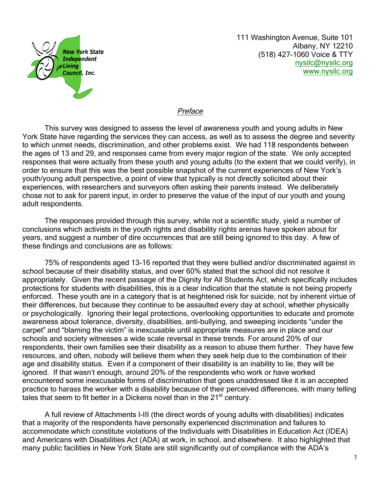

111 Washington Avenue, Suite 101 Albany, NY 12210 (518) 427-1060 Voice & TTY nysilc@nysilc.org [www.nysilc.org](mailto:nysilc@nysilc.org)

## **Preface**

This survey was designed to assess the level of awareness youth and young adults in New York State have regarding the services they can access, as well as to assess the degree and severity to which unmet needs, discrimination, and other problems exist. We had 118 respondents between the ages of 13 and 29, and responses came from every major region of the state. We only accepted responses that were actually from these youth and young adults (to the extent that we could verify), in order to ensure that this was the best possible snapshot of the current experiences of New York's youth/young adult perspective, a point of view that typically is not directly solicited about their experiences, with researchers and surveyors often asking their parents instead. We deliberately chose not to ask for parent input, in order to preserve the value of the input of our youth and young adult respondents.

The responses provided through this survey, while not a scientific study, yield a number of conclusions which activists in the youth rights and disability rights arenas have spoken about for years, and suggest a number of dire occurrences that are still being ignored to this day. A few of these findings and conclusions are as follows:

75% of respondents aged 13-16 reported that they were bullied and/or discriminated against in school because of their disability status, and over 60% stated that the school did not resolve it appropriately. Given the recent passage of the Dignity for All Students Act, which specifically includes protections for students with disabilities, this is a clear indication that the statute is not being properly enforced. These youth are in a category that is at heightened risk for suicide, not by inherent virtue of their differences, but because they continue to be assaulted every day at school, whether physically or psychologically. Ignoring their legal protections, overlooking opportunities to educate and promote awareness about tolerance, diversity, disabilities, anti-bullying, and sweeping incidents "under the carpet" and "blaming the victim" is inexcusable until appropriate measures are in place and our schools and society witnesses a wide scale reversal in these trends. For around 20% of our respondents, their own families see their disability as a reason to abuse them further. They have few resources, and often, nobody will believe them when they seek help due to the combination of their age and disability status. Even if a component of their disability is an inability to lie, they will be ignored. If that wasn't enough, around 20% of the respondents who work or have worked encountered some inexcusable forms of discrimination that goes unaddressed like it is an accepted practice to harass the worker with a disability because of their perceived differences, with many telling tales that seem to fit better in a Dickens novel than in the  $21<sup>st</sup>$  century.

A full review of Attachments I-III (the direct words of young adults with disabilities) indicates that a majority of the respondents have personally experienced discrimination and failures to accommodate which constitute violations of the Individuals with Disabilities in Education Act (IDEA) and Americans with Disabilities Act (ADA) at work, in school, and elsewhere. It also highlighted that many public facilities in New York State are still significantly out of compliance with the ADA's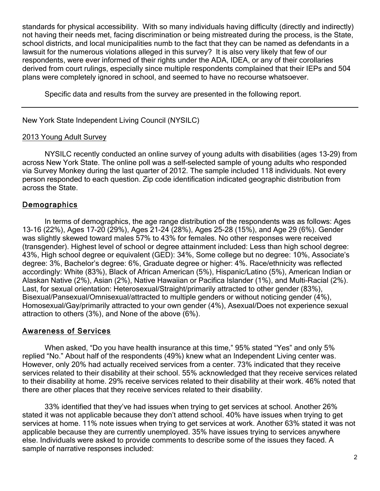standards for physical accessibility. With so many individuals having difficulty (directly and indirectly) not having their needs met, facing discrimination or being mistreated during the process, is the State, school districts, and local municipalities numb to the fact that they can be named as defendants in a lawsuit for the numerous violations alleged in this survey? It is also very likely that few of our respondents, were ever informed of their rights under the ADA, IDEA, or any of their corollaries derived from court rulings, especially since multiple respondents complained that their IEPs and 504 plans were completely ignored in school, and seemed to have no recourse whatsoever.

Specific data and results from the survey are presented in the following report.

New York State Independent Living Council (NYSILC)

## 2013 Young Adult Survey

NYSILC recently conducted an online survey of young adults with disabilities (ages 13-29) from across New York State. The online poll was a self-selected sample of young adults who responded via Survey Monkey during the last quarter of 2012. The sample included 118 individuals. Not every person responded to each question. Zip code identification indicated geographic distribution from across the State.

# **Demographics**

In terms of demographics, the age range distribution of the respondents was as follows: Ages 13-16 (22%), Ages 17-20 (29%), Ages 21-24 (28%), Ages 25-28 (15%), and Age 29 (6%). Gender was slightly skewed toward males 57% to 43% for females. No other responses were received (transgender). Highest level of school or degree attainment included: Less than high school degree: 43%, High school degree or equivalent (GED): 34%, Some college but no degree: 10%, Associate's degree: 3%, Bachelor's degree: 6%, Graduate degree or higher: 4%. Race/ethnicity was reflected accordingly: White (83%), Black of African American (5%), Hispanic/Latino (5%), American Indian or Alaskan Native (2%), Asian (2%), Native Hawaiian or Pacifica Islander (1%), and Multi-Racial (2%). Last, for sexual orientation: Heterosexual/Straight/primarily attracted to other gender (83%), Bisexual/Pansexual/Omnisexual/attracted to multiple genders or without noticing gender (4%), Homosexual/Gay/primarily attracted to your own gender (4%), Asexual/Does not experience sexual attraction to others (3%), and None of the above (6%).

## Awareness of Services

When asked, "Do you have health insurance at this time," 95% stated "Yes" and only 5% replied "No." About half of the respondents (49%) knew what an Independent Living center was. However, only 20% had actually received services from a center. 73% indicated that they receive services related to their disability at their school. 55% acknowledged that they receive services related to their disability at home. 29% receive services related to their disability at their work. 46% noted that there are other places that they receive services related to their disability.

33% identified that they've had issues when trying to get services at school. Another 26% stated it was not applicable because they don't attend school. 40% have issues when trying to get services at home. 11% note issues when trying to get services at work. Another 63% stated it was not applicable because they are currently unemployed. 35% have issues trying to services anywhere else. Individuals were asked to provide comments to describe some of the issues they faced. A sample of narrative responses included: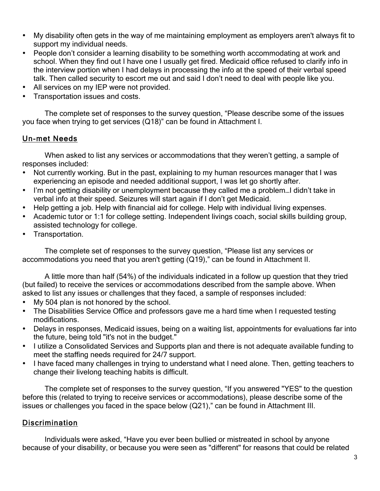- My disability often gets in the way of me maintaining employment as employers aren't always fit to support my individual needs.
- People don't consider a learning disability to be something worth accommodating at work and school. When they find out I have one I usually get fired. Medicaid office refused to clarify info in the interview portion when I had delays in processing the info at the speed of their verbal speed talk. Then called security to escort me out and said I don't need to deal with people like you.
- All services on my IEP were not provided.
- Transportation issues and costs.

The complete set of responses to the survey question, "Please describe some of the issues you face when trying to get services (Q18)" can be found in Attachment I.

# Un-met Needs

When asked to list any services or accommodations that they weren't getting, a sample of responses included:

- Not currently working. But in the past, explaining to my human resources manager that I was experiencing an episode and needed additional support, I was let go shortly after.
- I'm not getting disability or unemployment because they called me a problem...I didn't take in verbal info at their speed. Seizures will start again if I don't get Medicaid.
- Help getting a job. Help with financial aid for college. Help with individual living expenses.
- Academic tutor or 1:1 for college setting. Independent livings coach, social skills building group, assisted technology for college.
- Transportation.

The complete set of responses to the survey question, "Please list any services or accommodations you need that you aren't getting (Q19)," can be found in Attachment II.

A little more than half (54%) of the individuals indicated in a follow up question that they tried (but failed) to receive the services or accommodations described from the sample above. When asked to list any issues or challenges that they faced, a sample of responses included:

- My 504 plan is not honored by the school.
- The Disabilities Service Office and professors gave me a hard time when I requested testing modifications.
- Delays in responses, Medicaid issues, being on a waiting list, appointments for evaluations far into the future, being told "it's not in the budget."
- I utilize a Consolidated Services and Supports plan and there is not adequate available funding to meet the staffing needs required for 24/7 support.
- I have faced many challenges in trying to understand what I need alone. Then, getting teachers to change their livelong teaching habits is difficult.

The complete set of responses to the survey question, "If you answered "YES" to the question before this (related to trying to receive services or accommodations), please describe some of the issues or challenges you faced in the space below (Q21)," can be found in Attachment III.

## **Discrimination**

Individuals were asked, "Have you ever been bullied or mistreated in school by anyone because of your disability, or because you were seen as "different" for reasons that could be related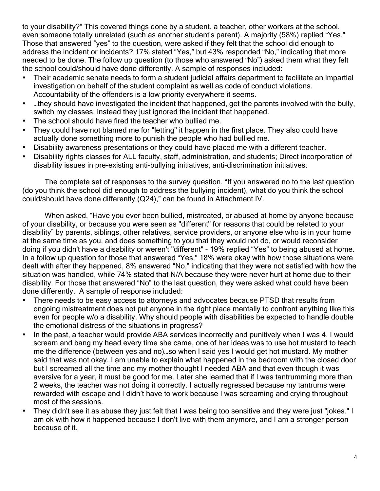to your disability?" This covered things done by a student, a teacher, other workers at the school, even someone totally unrelated (such as another student's parent). A majority (58%) replied "Yes." Those that answered "yes" to the question, were asked if they felt that the school did enough to address the incident or incidents? 17% stated "Yes," but 43% responded "No," indicating that more needed to be done. The follow up question (to those who answered "No") asked them what they felt the school could/should have done differently. A sample of responses included:

- Their academic senate needs to form a student judicial affairs department to facilitate an impartial investigation on behalf of the student complaint as well as code of conduct violations. Accountability of the offenders is a low priority everywhere it seems.
- …they should have investigated the incident that happened, get the parents involved with the bully, switch my classes, instead they just ignored the incident that happened.
- The school should have fired the teacher who bullied me.
- They could have not blamed me for "letting" it happen in the first place. They also could have actually done something more to punish the people who had bullied me.
- Disability awareness presentations or they could have placed me with a different teacher.
- Disability rights classes for ALL faculty, staff, administration, and students; Direct incorporation of disability issues in pre-existing anti-bullying initiatives, anti-discrimination initiatives.

The complete set of responses to the survey question, "If you answered no to the last question (do you think the school did enough to address the bullying incident), what do you think the school could/should have done differently (Q24)," can be found in Attachment IV.

When asked, "Have you ever been bullied, mistreated, or abused at home by anyone because of your disability, or because you were seen as "different" for reasons that could be related to your disability" by parents, siblings, other relatives, service providers, or anyone else who is in your home at the same time as you, and does something to you that they would not do, or would reconsider doing if you didn't have a disability or weren't "different" - 19% replied "Yes" to being abused at home. In a follow up question for those that answered "Yes," 18% were okay with how those situations were dealt with after they happened, 8% answered "No," indicating that they were not satisfied with how the situation was handled, while 74% stated that N/A because they were never hurt at home due to their disability. For those that answered "No" to the last question, they were asked what could have been done differently. A sample of response included:

- There needs to be easy access to attorneys and advocates because PTSD that results from ongoing mistreatment does not put anyone in the right place mentally to confront anything like this even for people w/o a disability. Why should people with disabilities be expected to handle double the emotional distress of the situations in progress?
- In the past, a teacher would provide ABA services incorrectly and punitively when I was 4. I would scream and bang my head every time she came, one of her ideas was to use hot mustard to teach me the difference (between yes and no)…so when I said yes I would get hot mustard. My mother said that was not okay. I am unable to explain what happened in the bedroom with the closed door but I screamed all the time and my mother thought I needed ABA and that even though it was aversive for a year, it must be good for me. Later she learned that if I was tantrumming more than 2 weeks, the teacher was not doing it correctly. I actually regressed because my tantrums were rewarded with escape and I didn't have to work because I was screaming and crying throughout most of the sessions.
- They didn't see it as abuse they just felt that I was being too sensitive and they were just "jokes." I am ok with how it happened because I don't live with them anymore, and I am a stronger person because of it.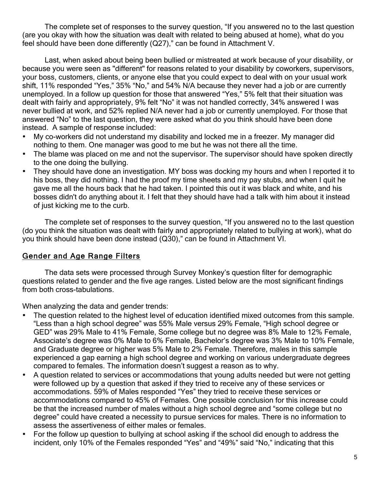The complete set of responses to the survey question, "If you answered no to the last question (are you okay with how the situation was dealt with related to being abused at home), what do you feel should have been done differently (Q27)," can be found in Attachment V.

Last, when asked about being been bullied or mistreated at work because of your disability, or because you were seen as "different" for reasons related to your disability by coworkers, supervisors, your boss, customers, clients, or anyone else that you could expect to deal with on your usual work shift, 11% responded "Yes," 35% "No," and 54% N/A because they never had a job or are currently unemployed. In a follow up question for those that answered "Yes," 5% felt that their situation was dealt with fairly and appropriately, 9% felt "No" it was not handled correctly, 34% answered I was never bullied at work, and 52% replied N/A never had a job or currently unemployed. For those that answered "No" to the last question, they were asked what do you think should have been done instead. A sample of response included:

- My co-workers did not understand my disability and locked me in a freezer. My manager did nothing to them. One manager was good to me but he was not there all the time.
- The blame was placed on me and not the supervisor. The supervisor should have spoken directly to the one doing the bullying.
- They should have done an investigation. MY boss was docking my hours and when I reported it to his boss, they did nothing. I had the proof my time sheets and my pay stubs, and when I quit he gave me all the hours back that he had taken. I pointed this out it was black and white, and his bosses didn't do anything about it. I felt that they should have had a talk with him about it instead of just kicking me to the curb.

The complete set of responses to the survey question, "If you answered no to the last question (do you think the situation was dealt with fairly and appropriately related to bullying at work), what do you think should have been done instead (Q30)," can be found in Attachment VI.

# Gender and Age Range Filters

The data sets were processed through Survey Monkey's question filter for demographic questions related to gender and the five age ranges. Listed below are the most significant findings from both cross-tabulations.

When analyzing the data and gender trends:

- The question related to the highest level of education identified mixed outcomes from this sample. "Less than a high school degree" was 55% Male versus 29% Female, "High school degree or GED" was 29% Male to 41% Female, Some college but no degree was 8% Male to 12% Female, Associate's degree was 0% Male to 6% Female, Bachelor's degree was 3% Male to 10% Female, and Graduate degree or higher was 5% Male to 2% Female. Therefore, males in this sample experienced a gap earning a high school degree and working on various undergraduate degrees compared to females. The information doesn't suggest a reason as to why.
- A question related to services or accommodations that young adults needed but were not getting were followed up by a question that asked if they tried to receive any of these services or accommodations. 59% of Males responded "Yes" they tried to receive these services or accommodations compared to 45% of Females. One possible conclusion for this increase could be that the increased number of males without a high school degree and "some college but no degree" could have created a necessity to pursue services for males. There is no information to assess the assertiveness of either males or females.
- For the follow up question to bullying at school asking if the school did enough to address the incident, only 10% of the Females responded "Yes" and "49%" said "No," indicating that this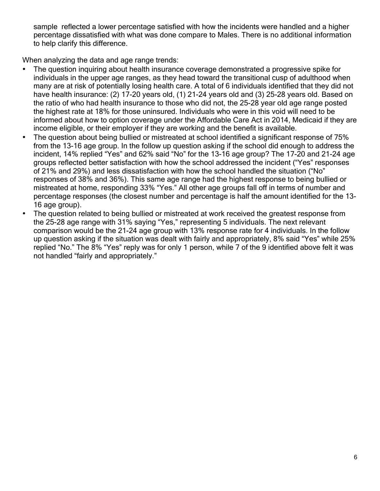sample reflected a lower percentage satisfied with how the incidents were handled and a higher percentage dissatisfied with what was done compare to Males. There is no additional information to help clarify this difference.

When analyzing the data and age range trends:

- The question inquiring about health insurance coverage demonstrated a progressive spike for individuals in the upper age ranges, as they head toward the transitional cusp of adulthood when many are at risk of potentially losing health care. A total of 6 individuals identified that they did not have health insurance: (2) 17-20 years old, (1) 21-24 years old and (3) 25-28 years old. Based on the ratio of who had health insurance to those who did not, the 25-28 year old age range posted the highest rate at 18% for those uninsured. Individuals who were in this void will need to be informed about how to option coverage under the Affordable Care Act in 2014, Medicaid if they are income eligible, or their employer if they are working and the benefit is available.
- The question about being bullied or mistreated at school identified a significant response of 75% from the 13-16 age group. In the follow up question asking if the school did enough to address the incident, 14% replied "Yes" and 62% said "No" for the 13-16 age group? The 17-20 and 21-24 age groups reflected better satisfaction with how the school addressed the incident ("Yes" responses of 21% and 29%) and less dissatisfaction with how the school handled the situation ("No" responses of 38% and 36%). This same age range had the highest response to being bullied or mistreated at home, responding 33% "Yes." All other age groups fall off in terms of number and percentage responses (the closest number and percentage is half the amount identified for the 13- 16 age group).
- The question related to being bullied or mistreated at work received the greatest response from the 25-28 age range with 31% saying "Yes," representing 5 individuals. The next relevant comparison would be the 21-24 age group with 13% response rate for 4 individuals. In the follow up question asking if the situation was dealt with fairly and appropriately, 8% said "Yes" while 25% replied "No." The 8% "Yes" reply was for only 1 person, while 7 of the 9 identified above felt it was not handled "fairly and appropriately."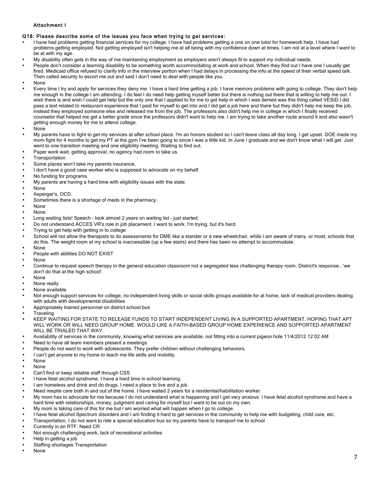#### Attachment I

#### Q18: Please describe some of the issues you face when trying to get services:

- I have had problems getting financial services for my college. I have had problems getting a one on one tutor for homework help. I have had problems getting employed. Not getting employed isn't helping me at all being with my confidence down at times. I am not at a level where I want to be at with my age.
- My disability often gets in the way of me maintaining employment as employers aren't always fit to support my individual needs.
- People don't consider a learning disability to be something worth accommodating at work and school. When they find out I have one I usually get fired. Medicaid office refused to clarify info in the interview portion when I had delays in processing the info at the speed of their verbal speed talk. Then called security to escort me out and said I don't need to deal with people like you.
- None
- Every time I try and apply for services they deny me. I have a hard time getting a job. I have memory problems with going to college. They don't help me enough in the college I am attending. I do feel I do need help getting myself better but there is nothing out there that is willing to help me out. I wish there is and wish I could get help but the only one that I applied to for me to get help in which I was denied was this thing called VESID.I did pass a test related to restaurant experience that I paid for myself to get into and I did get a job here and there but they didn't help me keep the job, instead they employed someone else and released me from the job. The professors also didn't help me in college in which I finally received counselor that helped me get a better grade since the professors didn't want to help me. I am trying to take another route around it and also wasn't getting enough money for me to attend college.
- None
- My parents have to fight to get my services at after school place. I'm an honors student so I can't leave class all day long. I get upset. DOE made my mom fight for 4 months to get my PT at the gym I've been going to since I was a little kid. In June I graduate and we don't know what I will get. Just went to one transition meeting and one eligibility meeting. Waiting to find out.
- Paper work wait, getting approval, no agency had room to take us.
- **Transportation**
- Some places won't take my parents insurance.
- I don't have a good case worker who is supposed to advocate on my behalf.
- No funding for programs.
- My parents are having a hard time with eligibility issues with the state.
- None
- Asperger's, OCD.
- Sometimes there is a shortage of meds in the pharmacy.
- None
- None
- Long waiting lists! Speech took almost 2 years on waiting list just started.
- Do not understand ACCES VR's role in job placement. I want to work. I'm trying, but it's hard.
- Trying to get help with getting in to college
- School will not allow the therapists to do assessments for DME like a stander or a new wheelchair, while I am aware of many, or most, schools that do this. The weight room at my school is inaccessible (up a few stairs) and there has been no attempt to accommodate. • None
- People with abilities DO NOT EXIST
- None
- Continue to request speech therapy in the general education classroom not a segregated less challenging therapy room. District's response...'we don't do that at the high school'.
- None
- None really
- None available
- Not enough support services for college, no independent living skills or social skills groups available for at home, lack of medical providers dealing with adults with developmental disabilities
- Appropriately trained personnel on district school bus
- **Traveling**
- KEEP WAITING FOR STATE TO RELEASE FUNDS TO START INDEPENDENT LIVING IN A SUPPORTED APARTMENT. HOPING THAT APT WILL WORK OR WILL NEED GROUP HOME. WOULD LIKE A FAITH-BASED GROUP HOME EXPERIENCE AND SUPPORTED APARTMENT WILL BE TRIALED THAT WAY.
- Availability of services in the community, knowing what services are available, not fitting into a current pigeon hole 11/4/2012 12:02 AM
- Need to have all team members present a meetings
- People do not want to work with adolescents. They prefer children without challenging behaviors.
- I can't get anyone to my home to teach me life skills and mobility.
- None
- None
- Can't find or keep reliable staff through CSS
- I have fetal alcohol syndrome. I have a hard time in school learning.
- I am homeless and drink and do drugs. I need a place to live and a job.
- Need respite care both in and out of the home. I have waited 2 years for a residential/habilitation worker.
- My mom has to advocate for me because I do not understand what is happening and I get very anxious. I have fetal alcohol syndrome and have a hard time with relationships, money, judgment and caring for myself but I want to be out on my own.
- My mom is taking care of this for me but I am worried what will happen when I go to college.
- I have fetal alcohol Spectrum disorders and I am finding it hard to get services in the community to help me with budgeting, child care, etc.
- Transportation. I do not want to ride a special education bus so my parents have to transport me to school
- Currently in an RTF. Need CR
- Not enough challenging work, lack of recreational activities
- Help in getting a job
- Staffing shortages Transportation
- None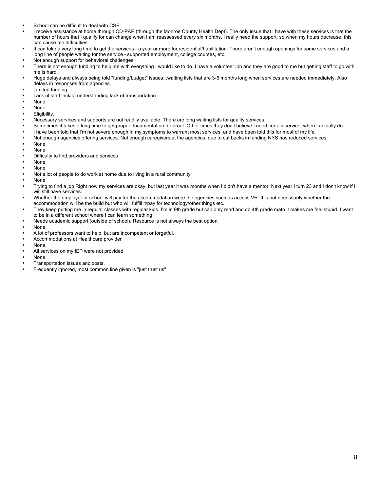- School can be difficult to deal with CSE
- I receive assistance at home through CD-PAP (through the Monroe County Health Dept). The only issue that I have with these services is that the number of hours that I qualify for can change when I am reassessed every six months. I really need the support, so when my hours decrease, this can cause me difficulties.
- It can take a very long time to get the services a year or more for residential/habilitation. There aren't enough openings for some services and a long line of people waiting for the service - supported employment, college courses, etc.
- Not enough support for behavioral challenges
- There is not enough funding to help me with everything I would like to do. I have a volunteer job and they are good to me but getting staff to go with me is hard
- Huge delays and always being told "funding/budget" issues...waiting lists that are 3-6 months long when services are needed immediately. Also delays in responses from agencies.
- Limited funding
- Lack of staff lack of understanding lack of transportation
- None
- None
- Eligibility.
- Necessary services and supports are not readily available. There are long waiting lists for quality services.
- Sometimes it takes a long time to get proper documentation for proof. Other times they don't believe I need certain service, when I actually do.
- I have been told that I'm not severe enough in my symptoms to warrant most services, and have been told this for most of my life.
- Not enough agencies offering services. Not enough caregivers at the agencies, due to cut backs in funding NYS has reduced services
- None
- None
- Difficulty to find providers and services
- None
- None
- Not a lot of people to do work at home due to living in a rural community
- None
- Trying to find a job Right now my services are okay, but last year it was months when I didn't have a mentor. Next year I turn 23 and I don't know if I will still have services.
- Whether the employer or school will pay for the accommodation were the agencies such as access VR. It is not necessarily whether the accommodation will be the build but who will fulfill it/pay for technology/other things etc.
- They keep putting me in regular classes with regular kids. I'm in 9th grade but can only read and do 4th grade math it makes me feel stupid. I want to be in a different school where I can learn something
- Needs academic support (outside of school). Resource is not always the best option.
- None
- A lot of professors want to help, but are incompetent or forgetful.
- Accommodations at Healthcare provider
- None.
- All services on my IEP were not provided
- None
- Transportation issues and costs.
- Frequently ignored, most common line given is "just trust us"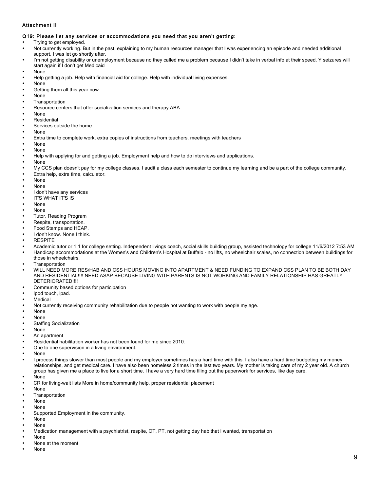### Attachment II

#### Q19: Please list any services or accommodations you need that you aren't getting:

- Trying to get employed.
- Not currently working. But in the past, explaining to my human resources manager that I was experiencing an episode and needed additional support, I was let go shortly after.
- I'm not getting disability or unemployment because no they called me a problem because I didn't take in verbal info at their speed. Y seizures will start again if I don't get Medicaid
- None
- Help getting a job. Help with financial aid for college. Help with individual living expenses.
- None
- Getting them all this year now
- None
- **Transportation**
- Resource centers that offer socialization services and therapy ABA.
- None
- **Residential**
- Services outside the home.
- None
- Extra time to complete work, extra copies of instructions from teachers, meetings with teachers
- None
- None
- Help with applying for and getting a job. Employment help and how to do interviews and applications.
- None
- My CCS plan doesn't pay for my college classes. I audit a class each semester to continue my learning and be a part of the college community.
- Extra help, extra time, calculator.
- None
- None
- I don't have any services
- IT'S WHAT IT'S IS
- None
- None
- Tutor, Reading Program
- Respite, transportation.
- Food Stamps and HEAP.
- I don't know. None I think.
- **RESPITE**
- Academic tutor or 1:1 for college setting. Independent livings coach, social skills building group, assisted technology for college 11/6/2012 7:53 AM
- Handicap accommodations at the Women's and Children's Hospital at Buffalo no lifts, no wheelchair scales, no connection between buildings for those in wheelchairs.
- **Transportation**
- WILL NEED MORE RES/HAB AND CSS HOURS MOVING INTO APARTMENT & NEED FUNDING TO EXPAND CSS PLAN TO BE BOTH DAY AND RESIDENTIAL!!!! NEED ASAP BECAUSE LIVING WITH PARENTS IS NOT WORKING AND FAMILY RELATIONSHIP HAS GREATLY DETERIORATED!!!!
- Community based options for participation
- Ipod touch, ipad.
- **Medical**
- Not currently receiving community rehabilitation due to people not wanting to work with people my age.
- None
- None
- Staffing Socialization
- None
- An apartment
- Residential habilitation worker has not been found for me since 2010.
- One to one supervision in a living environment.
- None
- I process things slower than most people and my employer sometimes has a hard time with this. I also have a hard time budgeting my money, relationships, and get medical care. I have also been homeless 2 times in the last two years. My mother is taking care of my 2 year old. A church group has given me a place to live for a short time. I have a very hard time filing out the paperwork for services, like day care.
- None
- CR for living-wait lists More in home/community help, proper residential placement
- None
- **Transportation**
- None
- None
- Supported Employment in the community.
- None
- None
- Medication management with a psychiatrist, respite, OT, PT, not getting day hab that I wanted, transportation
- None
- None at the moment
- None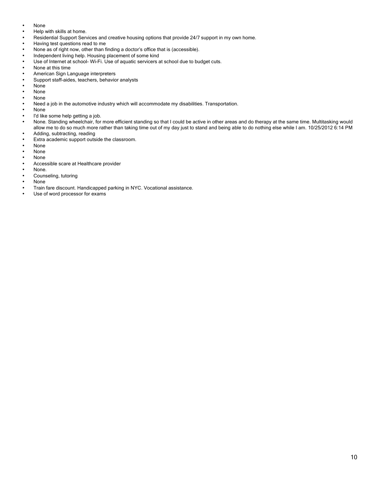- None
- Help with skills at home.
- Residential Support Services and creative housing options that provide 24/7 support in my own home.
- Having test questions read to me
- None as of right now, other than finding a doctor's office that is (accessible).
- Independent living help. Housing placement of some kind
- Use of Internet at school- Wi-Fi. Use of aquatic servicers at school due to budget cuts.
- None at this time
- American Sign Language interpreters
- Support staff-aides, teachers, behavior analysts<br>• None
- None
- None
- None
- Need a job in the automotive industry which will accommodate my disabilities. Transportation.
- None
- I'd like some help getting a job.<br>• None Standing wheelchair for
- None. Standing wheelchair, for more efficient standing so that I could be active in other areas and do therapy at the same time. Multitasking would allow me to do so much more rather than taking time out of my day just to stand and being able to do nothing else while I am. 10/25/2012 6:14 PM Adding, subtracting, reading
- Extra academic support outside the classroom.<br>• None
- None
- 
- None • None
- Accessible scare at Healthcare provider
- None.
- Counseling, tutoring
- None
- Train fare discount. Handicapped parking in NYC. Vocational assistance.
- Use of word processor for exams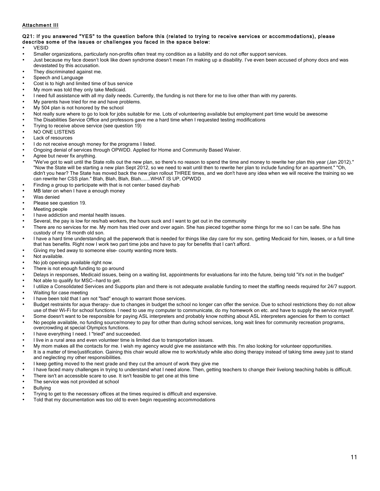### Attachment III

#### Q21: If you answered "YES" to the question before this (related to trying to receive services or accommodations), please describe some of the issues or challenges you faced in the space below:

- VESID
- Smaller organizations, particularly non-profits often treat my condition as a liability and do not offer support services.
- Just because my face doesn't look like down syndrome doesn't mean I'm making up a disability. I've even been accused of phony docs and was devastated by this accusation.
- They discriminated against me.
- Speech and Language
- Cost is to high and limited time of bus service
- My mom was told they only take Medicaid.
- I need full assistance with all my daily needs. Currently, the funding is not there for me to live other than with my parents.
- My parents have tried for me and have problems.
- My 504 plan is not honored by the school
- Not really sure where to go to look for jobs suitable for me. Lots of volunteering available but employment part time would be awesome
- The Disabilities Service Office and professors gave me a hard time when I requested testing modifications
- Trying to receive above service (see question 19)
- NO ONE LISTENS
- Lack of resources
- I do not receive enough money for the programs I listed.
- Ongoing denial of services through OPWDD. Applied for Home and Community Based Waiver.
- Agree but never fix anything.
- "We've got to wait until the State rolls out the new plan, so there's no reason to spend the time and money to rewrite her plan this year (Jan 2012)." "Now the State will be starting a new plan Sept 2012, so we need to wait until then to rewrite her plan to include funding for an apartment." "Oh, didn't you hear? The State has moved back the new plan rollout THREE times, and we don't have any idea when we will receive the training so we can rewrite her CSS plan." Blah, Blah, Blah, Blah.......WHAT IS UP, OPWDD
- Finding a group to participate with that is not center based day/hab
- MB later on when I have a enough money
- Was denied
- Please see question 19.
- Meeting people
- I have addiction and mental health issues.
- Several, the pay is low for res/hab workers, the hours suck and I want to get out in the community
- There are no services for me. My mom has tried over and over again. She has pieced together some things for me so I can be safe. She has custody of my 18 month old son.
- I have a hard time understanding all the paperwork that is needed for things like day care for my son, getting Medicaid for him, leases, or a full time that has benefits. Right now I work two part time jobs and have to pay for benefits that I can't afford.
- Giving my bed away to someone else- county wanting more tests.
- Not available.
- No job openings available right now.
- There is not enough funding to go around
- Delays in responses, Medicaid issues, being on a waiting list, appointments for evaluations far into the future, being told "it's not in the budget"
- Not able to qualify for MSC--hard to get.
- I utilize a Consolidated Services and Supports plan and there is not adequate available funding to meet the staffing needs required for 24/7 support.
- Waiting for case meeting
- I have been told that I am not "bad" enough to warrant those services.
- Budget restraints for aqua therapy- due to changes in budget the school no longer can offer the service. Due to school restrictions they do not allow use of their Wi-Fi for school functions. I need to use my computer to communicate, do my homework on etc. and have to supply the service myself.
- Some doesn't want to be responsible for paying ASL interpreters and probably know nothing about ASL interpreters agencies for them to contact
- No people available, no funding source/money to pay for other than during school services, long wait lines for community recreation programs, overcrowding at special Olympics functions.
	- I have everything I need. I "tried" and succeeded.
- I live in a rural area and even volunteer time is limited due to transportation issues.
- My mom makes all the contacts for me. I wish my agency would give me assistance with this. I'm also looking for volunteer opportunities.
- It is a matter of time/justification. Gaining this chair would allow me to work/study while also doing therapy instead of taking time away just to stand and neglecting my other responsibilities.
- I keep getting moved to the next grade and they cut the amount of work they give me
- I have faced many challenges in trying to understand what I need alone. Then, getting teachers to change their livelong teaching habits is difficult.
- There isn't an accessible scare to use. It isn't feasible to get one at this time
- The service was not provided at school
- **Bullving**
- Trying to get to the necessary offices at the times required is difficult and expensive.
- Told that my documentation was too old to even begin requesting accommodations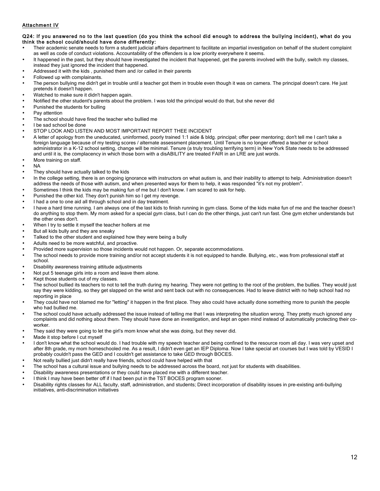### Attachment IV

#### Q24: If you answered no to the last question (do you think the school did enough to address the bullying incident), what do you think the school could/should have done differently:

- Their academic senate needs to form a student judicial affairs department to facilitate an impartial investigation on behalf of the student complaint as well as code of conduct violations. Accountability of the offenders is a low priority everywhere it seems.
- It happened in the past, but they should have investigated the incident that happened, get the parents involved with the bully, switch my classes, instead they just ignored the incident that happened.
- Addressed it with the kids , punished them and /or called in their parents
- Followed up with complainants.
- The person bullying me didn't get in trouble until a teacher got them in trouble even though it was on camera. The principal doesn't care. He just pretends it doesn't happen.
- Watched to make sure it didn't happen again.
- Notified the other student's parents about the problem. I was told the principal would do that, but she never did
- Punished the students for bulling
- Pay attention
- The school should have fired the teacher who bullied me
- I be sad school be done
- STOP LOOK AND LISTEN AND MOST IMPORTANT REPORT THEE INCIDENT
- A letter of apology from the uneducated, uninformed, poorly trained 1:1 aide & bldg. principal; offer peer mentoring; don't tell me I can't take a foreign language because of my testing scores / alternate assessment placement. Until Tenure is no longer offered a teacher or school administrator in a K-12 school setting, change will be minimal. Tenure (a truly troubling terrifying term) in New York State needs to be addressed and until it is, the complacency in which those born with a disABILITY are treated FAIR in an LRE are just words.
- More training on staff.
- NA
- They should have actually talked to the kids
- In the college setting, there is an ongoing ignorance with instructors on what autism is, and their inability to attempt to help. Administration doesn't address the needs of those with autism, and when presented ways for them to help, it was responded "it's not my problem".
- Sometimes I think the kids may be making fun of me but I don't know. I am scared to ask for help.
- Punished the other kid. They don't punish him so I get my revenge.
- I had a one to one aid all through school and in day treatment.
- I have a hard time running. I am always one of the last kids to finish running in gym class. Some of the kids make fun of me and the teacher doesn't do anything to stop them. My mom asked for a special gym class, but I can do the other things, just can't run fast. One gym etcher understands but the other ones don't.
- When I try to settle it myself the teacher hollers at me
- But all kids bully and they are sneaky
- Talked to the other student and explained how they were being a bully
- Adults need to be more watchful, and proactive.
- Provided more supervision so those incidents would not happen. Or, separate accommodations.
- The school needs to provide more training and/or not accept students it is not equipped to handle. Bullying, etc., was from professional staff at school.
- Disability awareness training attitude adjustments
- Not put 5 teenage girls into a room and leave them alone.
- Kept those students out of my classes.
- The school bullied its teachers to not to tell the truth during my hearing. They were not getting to the root of the problem, the bullies. They would just say they were kidding, so they get slapped on the wrist and sent back out with no consequences. Had to leave district with no help school had no reporting in place
- They could have not blamed me for "letting" it happen in the first place. They also could have actually done something more to punish the people who had bullied me.
- The school could have actually addressed the issue instead of telling me that I was interpreting the situation wrong. They pretty much ignored any complaints and did nothing about them. They should have done an investigation, and kept an open mind instead of automatically protecting their coworker.
- They said they were going to let the girl's mom know what she was doing, but they never did.
- Made it stop before I cut myself
- I don't know what the school would do. I had trouble with my speech teacher and being confined to the resource room all day. I was very upset and after 8th grade, my mom homeschooled me. As a result, I didn't even get an IEP Diploma. Now I take special art courses but I was told by VESID I probably couldn't pass the GED and I couldn't get assistance to take GED through BOCES.
- Not really bullied just didn't really have friends, school could have helped with that
- The school has a cultural issue and bullying needs to be addressed across the board, not just for students with disabilities.
- Disability awareness presentations or they could have placed me with a different teacher.
- I think I may have been better off if I had been put in the TST BOCES program sooner.
- Disability rights classes for ALL faculty, staff, administration, and students; Direct incorporation of disability issues in pre-existing anti-bullying initiatives, anti-discrimination initiatives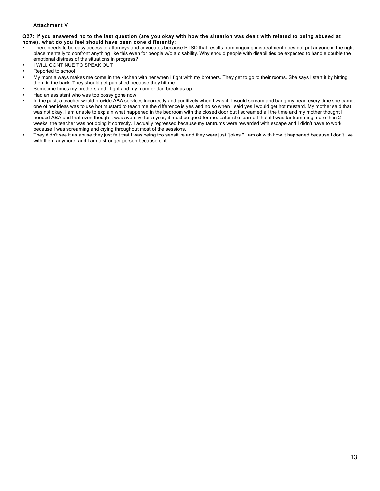### Attachment V

#### Q27: If you answered no to the last question (are you okay with how the situation was dealt with related to being abused at home), what do you feel should have been done differently:

- There needs to be easy access to attorneys and advocates because PTSD that results from ongoing mistreatment does not put anyone in the right place mentally to confront anything like this even for people w/o a disability. Why should people with disabilities be expected to handle double the emotional distress of the situations in progress?
- **I WILL CONTINUE TO SPEAK OUT**
- Reported to school
- My mom always makes me come in the kitchen with her when I fight with my brothers. They get to go to their rooms. She says I start it by hitting them in the back. They should get punished because they hit me.
- Sometime times my brothers and I fight and my mom or dad break us up.
- Had an assistant who was too bossy gone now
- In the past, a teacher would provide ABA services incorrectly and punitively when I was 4. I would scream and bang my head every time she came, one of her ideas was to use hot mustard to teach me the difference is yes and no so when I said yes I would get hot mustard. My mother said that was not okay. I am unable to explain what happened in the bedroom with the closed door but I screamed all the time and my mother thought I needed ABA and that even though it was aversive for a year, it must be good for me. Later she learned that if I was tantrumming more than 2 weeks, the teacher was not doing it correctly. I actually regressed because my tantrums were rewarded with escape and I didn't have to work because I was screaming and crying throughout most of the sessions.
- They didn't see it as abuse they just felt that I was being too sensitive and they were just "jokes." I am ok with how it happened because I don't live with them anymore, and I am a stronger person because of it.